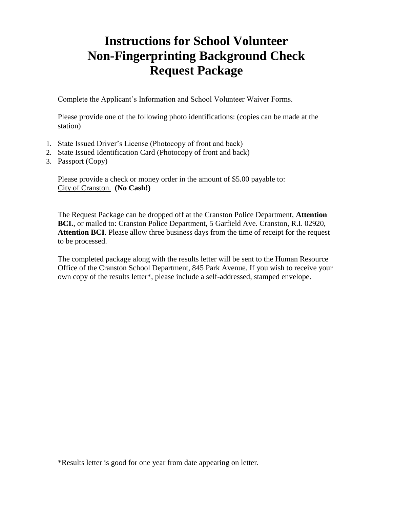# **Instructions for School Volunteer Non-Fingerprinting Background Check Request Package**

Complete the Applicant's Information and School Volunteer Waiver Forms.

Please provide one of the following photo identifications: (copies can be made at the station)

- 1. State Issued Driver's License (Photocopy of front and back)
- 2. State Issued Identification Card (Photocopy of front and back)
- 3. Passport (Copy)

Please provide a check or money order in the amount of \$5.00 payable to: City of Cranston. **(No Cash!)**

The Request Package can be dropped off at the Cranston Police Department, **Attention BCI.**, or mailed to: Cranston Police Department, 5 Garfield Ave. Cranston, R.I. 02920, **Attention BCI**. Please allow three business days from the time of receipt for the request to be processed.

The completed package along with the results letter will be sent to the Human Resource Office of the Cranston School Department, 845 Park Avenue. If you wish to receive your own copy of the results letter\*, please include a self-addressed, stamped envelope.

\*Results letter is good for one year from date appearing on letter.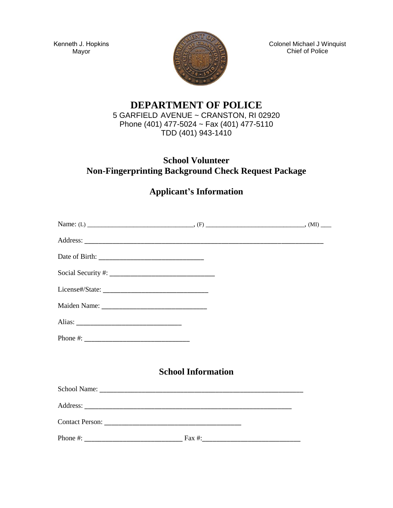Kenneth J. Hopkins Mayor



Colonel Michael J Winquist Chief of Police

### **DEPARTMENT OF POLICE**  5 GARFIELD AVENUE ~ CRANSTON, RI 02920 Phone (401) 477-5024 ~ Fax (401) 477-5110 TDD (401) 943-1410

## **School Volunteer Non-Fingerprinting Background Check Request Package**

# **Applicant's Information**

| <b>School Information</b> |  |
|---------------------------|--|
|                           |  |
|                           |  |
|                           |  |
|                           |  |